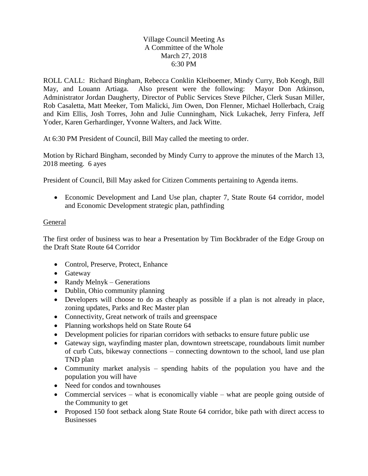## Village Council Meeting As A Committee of the Whole March 27, 2018 6:30 PM

ROLL CALL: Richard Bingham, Rebecca Conklin Kleiboemer, Mindy Curry, Bob Keogh, Bill May, and Louann Artiaga. Also present were the following: Mayor Don Atkinson, Administrator Jordan Daugherty, Director of Public Services Steve Pilcher, Clerk Susan Miller, Rob Casaletta, Matt Meeker, Tom Malicki, Jim Owen, Don Flenner, Michael Hollerbach, Craig and Kim Ellis, Josh Torres, John and Julie Cunningham, Nick Lukachek, Jerry Finfera, Jeff Yoder, Karen Gerhardinger, Yvonne Walters, and Jack Witte.

At 6:30 PM President of Council, Bill May called the meeting to order.

Motion by Richard Bingham, seconded by Mindy Curry to approve the minutes of the March 13, 2018 meeting. 6 ayes

President of Council, Bill May asked for Citizen Comments pertaining to Agenda items.

 Economic Development and Land Use plan, chapter 7, State Route 64 corridor, model and Economic Development strategic plan, pathfinding

## General

The first order of business was to hear a Presentation by Tim Bockbrader of the Edge Group on the Draft State Route 64 Corridor

- Control, Preserve, Protect, Enhance
- Gateway
- Randy Melnyk Generations
- Dublin, Ohio community planning
- Developers will choose to do as cheaply as possible if a plan is not already in place, zoning updates, Parks and Rec Master plan
- Connectivity, Great network of trails and greenspace
- Planning workshops held on State Route 64
- Development policies for riparian corridors with setbacks to ensure future public use
- Gateway sign, wayfinding master plan, downtown streetscape, roundabouts limit number of curb Cuts, bikeway connections – connecting downtown to the school, land use plan TND plan
- Community market analysis spending habits of the population you have and the population you will have
- Need for condos and townhouses
- Commercial services what is economically viable what are people going outside of the Community to get
- Proposed 150 foot setback along State Route 64 corridor, bike path with direct access to **Businesses**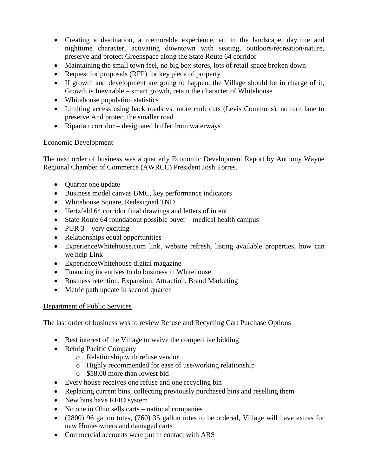- Creating a destination, a memorable experience, art in the landscape, daytime and nighttime character, activating downtown with seating, outdoors/recreation/nature, preserve and protect Greenspace along the State Route 64 corridor
- Maintaining the small town feel, no big box stores, lots of retail space broken down
- Request for proposals (RFP) for key piece of property
- If growth and development are going to happen, the Village should be in charge of it, Growth is Inevitable – smart growth, retain the character of Whitehouse
- Whitehouse population statistics
- Limiting access using back roads vs. more curb cuts (Levis Commons), no turn lane to preserve And protect the smaller road
- Riparian corridor designated buffer from waterways

## Economic Development

The next order of business was a quarterly Economic Development Report by Anthony Wayne Regional Chamber of Commerce (AWRCC) President Josh Torres.

- Quarter one update
- Business model canvas BMC, key performance indicators
- Whitehouse Square, Redesigned TND
- Hertzfeld 64 corridor final drawings and letters of intent
- State Route 64 roundabout possible buyer medical health campus
- PUR  $3$  very exciting
- Relationships equal opportunities
- ExperienceWhitehouse.com link, website refresh, listing available properties, how can we help Link
- ExperienceWhitehouse digital magazine
- Financing incentives to do business in Whitehouse
- Business retention, Expansion, Attraction, Brand Marketing
- Metric path update in second quarter

## Department of Public Services

The last order of business was to review Refuse and Recycling Cart Purchase Options

- Best interest of the Village to waive the competitive bidding
- Rehrig Pacific Company
	- o Relationship with refuse vendor
	- o Highly recommended for ease of use/working relationship
	- o \$58.00 more than lowest bid
- Every house receives one refuse and one recycling bin
- Replacing current bins, collecting previously purchased bins and reselling them
- New bins have RFID system
- No one in Ohio sells carts national companies
- (2800) 96 gallon totes, (760) 35 gallon totes to be ordered, Village will have extras for new Homeowners and damaged carts
- Commercial accounts were put in contact with ARS